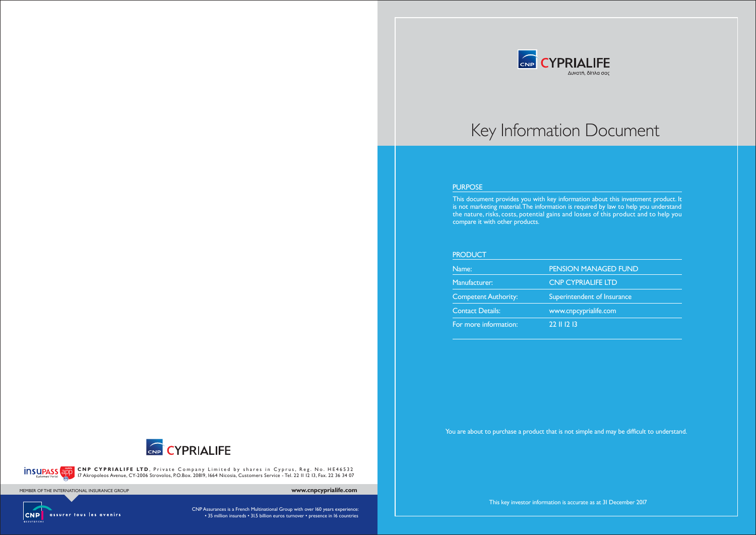

anglie CNP CYPRIALIFE LTD, Private Company Limited by shares in Cyprus, Reg. No. HE46532<br>[70] I7 Akropoleos Avenue, CY-2006 Strovolos, P.O.Box. 20819, 1664 Nicosia, Customers Service - Tel. 22 II 12

MEMBER OF THE INTERNATIONAL INSURANCE GROUP **www.cnpcyprialife.com**



assurer tous les avenirs

 CNP Assurances is a French Multinational Group with over 160 years experience: • 35 million insureds • 31.5 billion euros turnover • presence in 16 countries



# Key Information Document

## **PURPOSE**

This key investor information is accurate as at 31 December 2017



**NAMAGED FUND** 

**MANUFE LTD** 

Eundent of Insurance

pcyprialife.com





This document provides you with key information about this investment product. It is not marketing material. The information is required by law to help you understand the nature, risks, costs, potential gains and losses of this product and to help you compare it with other products.

## **PRODUCT**

| Name:                       | <b>PENSION</b> |
|-----------------------------|----------------|
| <b>Manufacturer:</b>        | <b>CNP CYP</b> |
| <b>Competent Authority:</b> | Superinter     |
| <b>Contact Details:</b>     | www.cnpc       |
| For more information:       | 22     2  3    |